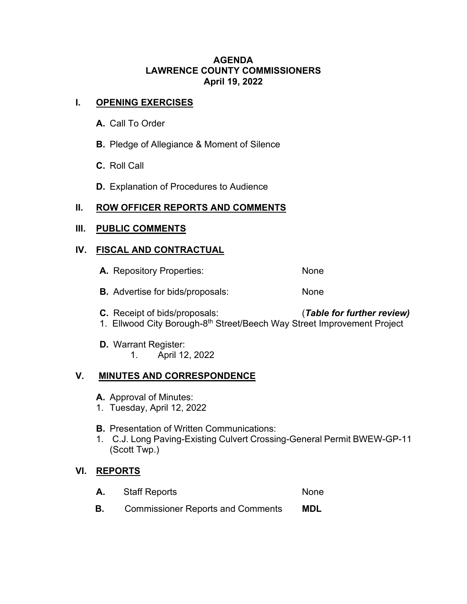#### **AGENDA LAWRENCE COUNTY COMMISSIONERS April 19, 2022**

## **I. OPENING EXERCISES**

- **A.** Call To Order
- **B.** Pledge of Allegiance & Moment of Silence
- **C.** Roll Call
- **D.** Explanation of Procedures to Audience

# **II. ROW OFFICER REPORTS AND COMMENTS**

#### **III. PUBLIC COMMENTS**

## **IV. FISCAL AND CONTRACTUAL**

- **A.** Repository Properties: None
- **B.** Advertise for bids/proposals: None
- **C.** Receipt of bids/proposals: (*Table for further review)*

- 1. Ellwood City Borough-8<sup>th</sup> Street/Beech Way Street Improvement Project
- **D.** Warrant Register:
	- 1. April 12, 2022

# **V. MINUTES AND CORRESPONDENCE**

- **A.** Approval of Minutes:
- 1. Tuesday, April 12, 2022
- **B.** Presentation of Written Communications:
- 1. C.J. Long Paving-Existing Culvert Crossing-General Permit BWEW-GP-11 (Scott Twp.)

# **VI. REPORTS**

- A. Staff Reports None
- **B.** Commissioner Reports and Comments **MDL**